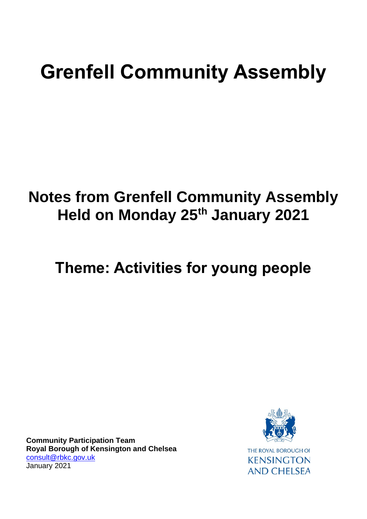# **Grenfell Community Assembly**

# **Notes from Grenfell Community Assembly Held on Monday 25th January 2021**

# **Theme: Activities for young people**

**Community Participation Team Royal Borough of Kensington and Chelsea** [consult@rbkc.gov.uk](mailto:gary.wilson@rbkc.gov.uk) January 2021

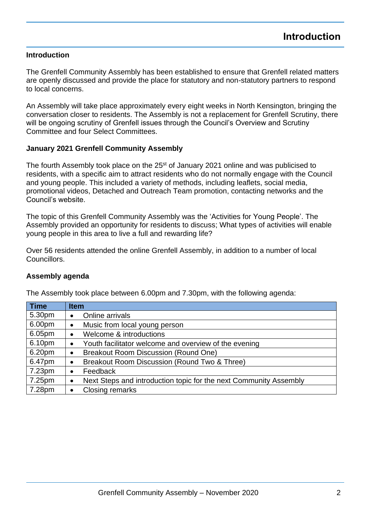#### **Introduction**

The Grenfell Community Assembly has been established to ensure that Grenfell related matters are openly discussed and provide the place for statutory and non-statutory partners to respond to local concerns.

An Assembly will take place approximately every eight weeks in North Kensington, bringing the conversation closer to residents. The Assembly is not a replacement for Grenfell Scrutiny, there will be ongoing scrutiny of Grenfell issues through the Council's Overview and Scrutiny Committee and four Select Committees.

#### **January 2021 Grenfell Community Assembly**

The fourth Assembly took place on the 25<sup>st</sup> of January 2021 online and was publicised to residents, with a specific aim to attract residents who do not normally engage with the Council and young people. This included a variety of methods, including leaflets, social media, promotional videos, Detached and Outreach Team promotion, contacting networks and the Council's website.

The topic of this Grenfell Community Assembly was the 'Activities for Young People'. The Assembly provided an opportunity for residents to discuss; What types of activities will enable young people in this area to live a full and rewarding life?

Over 56 residents attended the online Grenfell Assembly, in addition to a number of local Councillors.

#### **Assembly agenda**

The Assembly took place between 6.00pm and 7.30pm, with the following agenda:

| <b>Time</b> | <b>Item</b>                                                            |
|-------------|------------------------------------------------------------------------|
| 5.30pm      | Online arrivals<br>$\bullet$                                           |
| 6.00pm      | Music from local young person<br>$\bullet$                             |
| 6.05pm      | Welcome & introductions<br>٠                                           |
| 6.10pm      | Youth facilitator welcome and overview of the evening<br>٠             |
| 6.20pm      | Breakout Room Discussion (Round One)<br>٠                              |
| 6.47pm      | Breakout Room Discussion (Round Two & Three)<br>٠                      |
| 7.23pm      | Feedback<br>٠                                                          |
| 7.25pm      | Next Steps and introduction topic for the next Community Assembly<br>٠ |
| 7.28pm      | <b>Closing remarks</b>                                                 |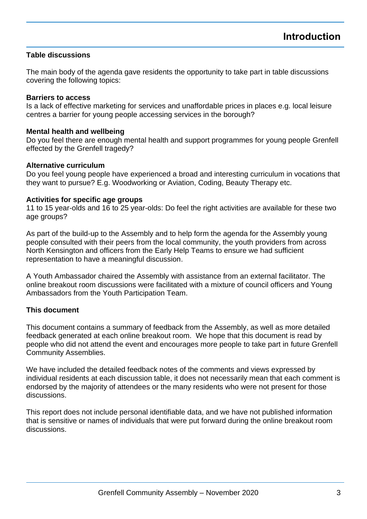#### **Table discussions**

The main body of the agenda gave residents the opportunity to take part in table discussions covering the following topics:

#### **Barriers to access**

Is a lack of effective marketing for services and unaffordable prices in places e.g. local leisure centres a barrier for young people accessing services in the borough?

#### **Mental health and wellbeing**

Do you feel there are enough mental health and support programmes for young people Grenfell effected by the Grenfell tragedy?

#### **Alternative curriculum**

Do you feel young people have experienced a broad and interesting curriculum in vocations that they want to pursue? E.g. Woodworking or Aviation, Coding, Beauty Therapy etc.

#### **Activities for specific age groups**

11 to 15 year-olds and 16 to 25 year-olds: Do feel the right activities are available for these two age groups?

As part of the build-up to the Assembly and to help form the agenda for the Assembly young people consulted with their peers from the local community, the youth providers from across North Kensington and officers from the Early Help Teams to ensure we had sufficient representation to have a meaningful discussion.

A Youth Ambassador chaired the Assembly with assistance from an external facilitator. The online breakout room discussions were facilitated with a mixture of council officers and Young Ambassadors from the Youth Participation Team.

#### **This document**

This document contains a summary of feedback from the Assembly, as well as more detailed feedback generated at each online breakout room. We hope that this document is read by people who did not attend the event and encourages more people to take part in future Grenfell Community Assemblies.

We have included the detailed feedback notes of the comments and views expressed by individual residents at each discussion table, it does not necessarily mean that each comment is endorsed by the majority of attendees or the many residents who were not present for those discussions.

This report does not include personal identifiable data, and we have not published information that is sensitive or names of individuals that were put forward during the online breakout room discussions.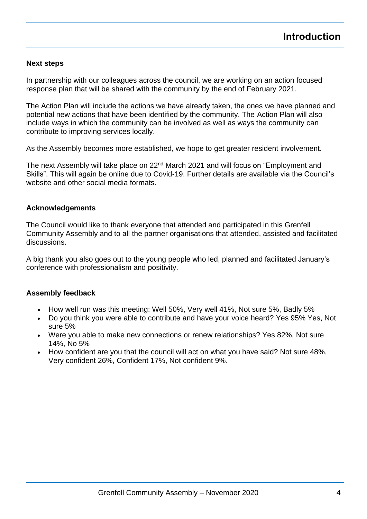#### **Next steps**

In partnership with our colleagues across the council, we are working on an action focused response plan that will be shared with the community by the end of February 2021.

The Action Plan will include the actions we have already taken, the ones we have planned and potential new actions that have been identified by the community. The Action Plan will also include ways in which the community can be involved as well as ways the community can contribute to improving services locally.

As the Assembly becomes more established, we hope to get greater resident involvement.

The next Assembly will take place on 22<sup>nd</sup> March 2021 and will focus on "Employment and Skills". This will again be online due to Covid-19. Further details are available via the Council's website and other social media formats.

#### **Acknowledgements**

The Council would like to thank everyone that attended and participated in this Grenfell Community Assembly and to all the partner organisations that attended, assisted and facilitated discussions.

A big thank you also goes out to the young people who led, planned and facilitated January's conference with professionalism and positivity.

#### **Assembly feedback**

- How well run was this meeting: Well 50%, Very well 41%, Not sure 5%, Badly 5%
- Do you think you were able to contribute and have your voice heard? Yes 95% Yes, Not sure 5%
- Were you able to make new connections or renew relationships? Yes 82%, Not sure 14%, No 5%
- How confident are you that the council will act on what you have said? Not sure 48%, Very confident 26%, Confident 17%, Not confident 9%.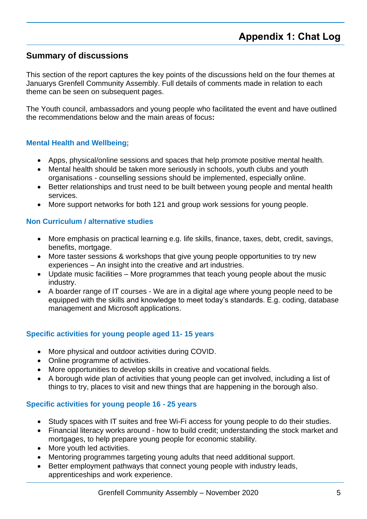### **Summary of discussions**

This section of the report captures the key points of the discussions held on the four themes at Januarys Grenfell Community Assembly. Full details of comments made in relation to each theme can be seen on subsequent pages.

The Youth council, ambassadors and young people who facilitated the event and have outlined the recommendations below and the main areas of focus**:** 

#### **Mental Health and Wellbeing;**

- Apps, physical/online sessions and spaces that help promote positive mental health.
- Mental health should be taken more seriously in schools, youth clubs and youth organisations - counselling sessions should be implemented, especially online.
- Better relationships and trust need to be built between young people and mental health services.
- More support networks for both 121 and group work sessions for young people.

#### **Non Curriculum / alternative studies**

- More emphasis on practical learning e.g. life skills, finance, taxes, debt, credit, savings, benefits, mortgage.
- More taster sessions & workshops that give young people opportunities to try new experiences – An insight into the creative and art industries.
- Update music facilities More programmes that teach young people about the music industry.
- A boarder range of IT courses We are in a digital age where young people need to be equipped with the skills and knowledge to meet today's standards. E.g. coding, database management and Microsoft applications.

#### **Specific activities for young people aged 11- 15 years**

- More physical and outdoor activities during COVID.
- Online programme of activities.
- More opportunities to develop skills in creative and vocational fields.
- A borough wide plan of activities that young people can get involved, including a list of things to try, places to visit and new things that are happening in the borough also.

#### **Specific activities for young people 16 - 25 years**

- Study spaces with IT suites and free Wi-Fi access for young people to do their studies.
- Financial literacy works around how to build credit; understanding the stock market and mortgages, to help prepare young people for economic stability.
- More youth led activities.
- Mentoring programmes targeting young adults that need additional support.
- Better employment pathways that connect young people with industry leads, apprenticeships and work experience.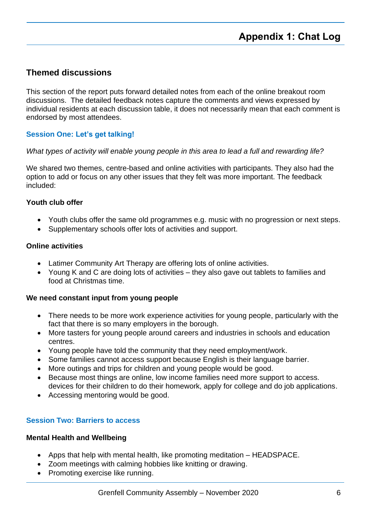### **Themed discussions**

This section of the report puts forward detailed notes from each of the online breakout room discussions. The detailed feedback notes capture the comments and views expressed by individual residents at each discussion table, it does not necessarily mean that each comment is endorsed by most attendees.

#### **Session One: Let's get talking!**

#### *What types of activity will enable young people in this area to lead a full and rewarding life?*

We shared two themes, centre-based and online activities with participants. They also had the option to add or focus on any other issues that they felt was more important. The feedback included:

#### **Youth club offer**

- Youth clubs offer the same old programmes e.g. music with no progression or next steps.
- Supplementary schools offer lots of activities and support.

#### **Online activities**

- Latimer Community Art Therapy are offering lots of online activities.
- Young K and C are doing lots of activities they also gave out tablets to families and food at Christmas time.

#### **We need constant input from young people**

- There needs to be more work experience activities for young people, particularly with the fact that there is so many employers in the borough.
- More tasters for young people around careers and industries in schools and education centres.
- Young people have told the community that they need employment/work.
- Some families cannot access support because English is their language barrier.
- More outings and trips for children and young people would be good.
- Because most things are online, low income families need more support to access. devices for their children to do their homework, apply for college and do job applications.
- Accessing mentoring would be good.

#### **Session Two: Barriers to access**

#### **Mental Health and Wellbeing**

- Apps that help with mental health, like promoting meditation HEADSPACE.
- Zoom meetings with calming hobbies like knitting or drawing.
- Promoting exercise like running.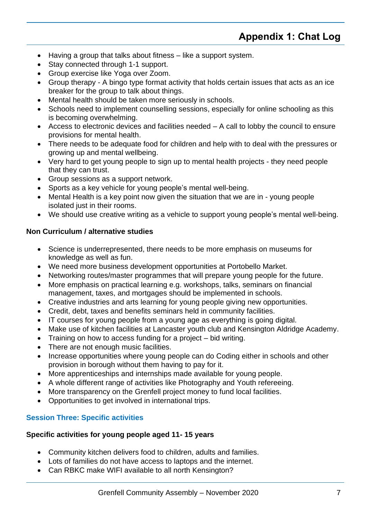- Having a group that talks about fitness like a support system.
- Stay connected through 1-1 support.
- Group exercise like Yoga over Zoom.
- Group therapy A bingo type format activity that holds certain issues that acts as an ice breaker for the group to talk about things.
- Mental health should be taken more seriously in schools.
- Schools need to implement counselling sessions, especially for online schooling as this is becoming overwhelming.
- Access to electronic devices and facilities needed A call to lobby the council to ensure provisions for mental health.
- There needs to be adequate food for children and help with to deal with the pressures or growing up and mental wellbeing.
- Very hard to get young people to sign up to mental health projects they need people that they can trust.
- Group sessions as a support network.
- Sports as a key vehicle for young people's mental well-being.
- Mental Health is a key point now given the situation that we are in young people isolated just in their rooms.
- We should use creative writing as a vehicle to support young people's mental well-being.

#### **Non Curriculum / alternative studies**

- Science is underrepresented, there needs to be more emphasis on museums for knowledge as well as fun.
- We need more business development opportunities at Portobello Market.
- Networking routes/master programmes that will prepare young people for the future.
- More emphasis on practical learning e.g. workshops, talks, seminars on financial management, taxes, and mortgages should be implemented in schools.
- Creative industries and arts learning for young people giving new opportunities.
- Credit, debt, taxes and benefits seminars held in community facilities.
- IT courses for young people from a young age as everything is going digital.
- Make use of kitchen facilities at Lancaster youth club and Kensington Aldridge Academy.
- Training on how to access funding for a project bid writing.
- There are not enough music facilities.
- Increase opportunities where young people can do Coding either in schools and other provision in borough without them having to pay for it.
- More apprenticeships and internships made available for young people.
- A whole different range of activities like Photography and Youth refereeing.
- More transparency on the Grenfell project money to fund local facilities.
- Opportunities to get involved in international trips.

#### **Session Three: Specific activities**

#### **Specific activities for young people aged 11- 15 years**

- Community kitchen delivers food to children, adults and families.
- Lots of families do not have access to laptops and the internet.
- Can RBKC make WIFI available to all north Kensington?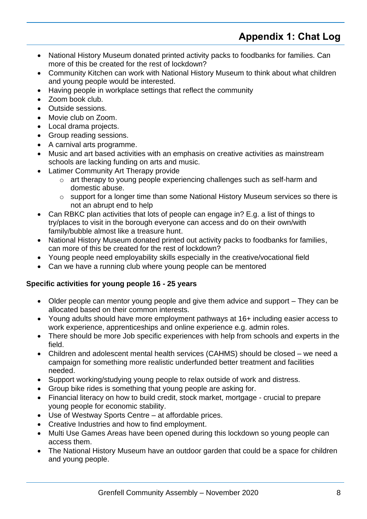# **Appendix 1: Chat Log**

- National History Museum donated printed activity packs to foodbanks for families. Can more of this be created for the rest of lockdown?
- Community Kitchen can work with National History Museum to think about what children and young people would be interested.
- Having people in workplace settings that reflect the community
- Zoom book club.
- Outside sessions.
- Movie club on Zoom.
- Local drama projects.
- Group reading sessions.
- A carnival arts programme.
- Music and art based activities with an emphasis on creative activities as mainstream schools are lacking funding on arts and music.
- Latimer Community Art Therapy provide
	- o art therapy to young people experiencing challenges such as self-harm and domestic abuse.
	- $\circ$  support for a longer time than some National History Museum services so there is not an abrupt end to help
- Can RBKC plan activities that lots of people can engage in? E.g. a list of things to try/places to visit in the borough everyone can access and do on their own/with family/bubble almost like a treasure hunt.
- National History Museum donated printed out activity packs to foodbanks for families, can more of this be created for the rest of lockdown?
- Young people need employability skills especially in the creative/vocational field
- Can we have a running club where young people can be mentored

#### **Specific activities for young people 16 - 25 years**

- Older people can mentor young people and give them advice and support They can be allocated based on their common interests.
- Young adults should have more employment pathways at 16+ including easier access to work experience, apprenticeships and online experience e.g. admin roles.
- There should be more Job specific experiences with help from schools and experts in the field.
- Children and adolescent mental health services (CAHMS) should be closed we need a campaign for something more realistic underfunded better treatment and facilities needed.
- Support working/studying young people to relax outside of work and distress.
- Group bike rides is something that young people are asking for.
- Financial literacy on how to build credit, stock market, mortgage crucial to prepare young people for economic stability.
- Use of Westway Sports Centre at affordable prices.
- Creative Industries and how to find employment.
- Multi Use Games Areas have been opened during this lockdown so young people can access them.
- The National History Museum have an outdoor garden that could be a space for children and young people.